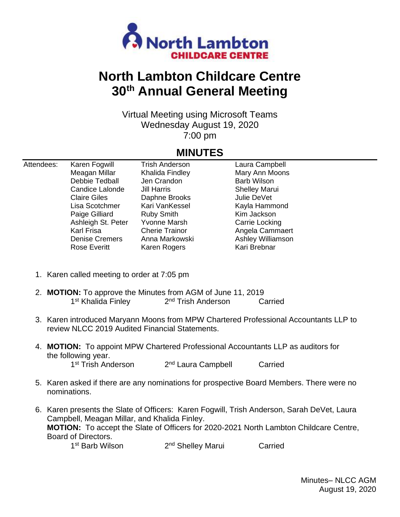

## **North Lambton Childcare Centre 30th Annual General Meeting**

Virtual Meeting using Microsoft Teams Wednesday August 19, 2020 7:00 pm

## **MINUTES**

| Attendees: | Karen Fogwill          | <b>Trish Anderson</b> | Laura Campbell       |  |
|------------|------------------------|-----------------------|----------------------|--|
|            | Meagan Millar          | Khalida Findley       | Mary Ann Moons       |  |
|            | Debbie Tedball         | Jen Crandon           | <b>Barb Wilson</b>   |  |
|            | <b>Candice Lalonde</b> | Jill Harris           | <b>Shelley Marui</b> |  |
|            | <b>Claire Giles</b>    | Daphne Brooks         | Julie DeVet          |  |
|            | Lisa Scotchmer         | Kari VanKessel        | Kayla Hammond        |  |
|            | Paige Gilliard         | <b>Ruby Smith</b>     | Kim Jackson          |  |
|            | Ashleigh St. Peter     | Yvonne Marsh          | Carrie Locking       |  |
|            | Karl Frisa             | <b>Cherie Trainor</b> | Angela Cammaert      |  |
|            | <b>Denise Cremers</b>  | Anna Markowski        | Ashley Williamson    |  |
|            | <b>Rose Everitt</b>    | Karen Rogers          | Kari Brebnar         |  |
|            |                        |                       |                      |  |

- 1. Karen called meeting to order at 7:05 pm
- 2. **MOTION:** To approve the Minutes from AGM of June 11, 2019 1<sup>st</sup> Khalida Finley 2 2<sup>nd</sup> Trish Anderson Carried
- 3. Karen introduced Maryann Moons from MPW Chartered Professional Accountants LLP to review NLCC 2019 Audited Financial Statements.
- 4. **MOTION:** To appoint MPW Chartered Professional Accountants LLP as auditors for the following year. 1<sup>st</sup> Trish Anderson 2 2<sup>nd</sup> Laura Campbell Carried
- 5. Karen asked if there are any nominations for prospective Board Members. There were no nominations.
- 6. Karen presents the Slate of Officers: Karen Fogwill, Trish Anderson, Sarah DeVet, Laura Campbell, Meagan Millar, and Khalida Finley. **MOTION:** To accept the Slate of Officers for 2020-2021 North Lambton Childcare Centre, Board of Directors.

1 st Barb Wilson 2 2<sup>nd</sup> Shelley Marui Carried